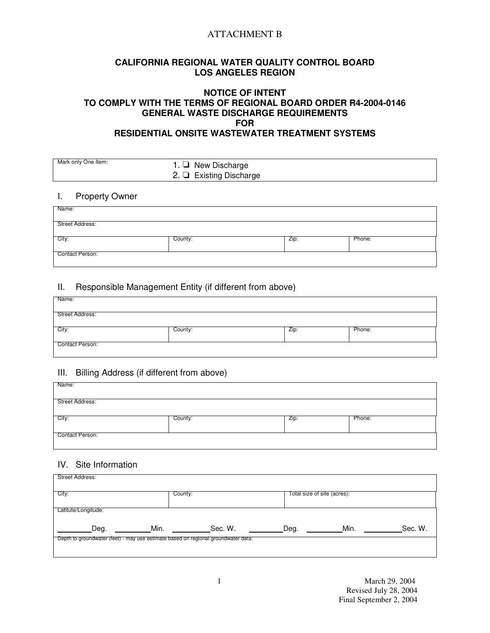# ATTACHMENT B

## **CALIFORNIA REGIONAL WATER QUALITY CONTROL BOARD LOS ANGELES REGION**

## **NOTICE OF INTENT TO COMPLY WITH THE TERMS OF REGIONAL BOARD ORDER R4-2004-0146 GENERAL WASTE DISCHARGE REQUIREMENTS FOR RESIDENTIAL ONSITE WASTEWATER TREATMENT SYSTEMS**

| Mark only One Item: | 1. $\Box$ New Discharge<br>2. $\Box$ Existing Discharge |
|---------------------|---------------------------------------------------------|
|                     |                                                         |

### I. Property Owner

| Name:           |         |      |        |
|-----------------|---------|------|--------|
| Street Address: |         |      |        |
| City:           | County: | Zip: | Phone: |
| Contact Person: |         |      |        |

# II. Responsible Management Entity (if different from above)

| Name:           |         |      |        |
|-----------------|---------|------|--------|
| Street Address: |         |      |        |
| City:           | County: | Zip: | Phone: |
| Contact Person: |         |      |        |

### III. Billing Address (if different from above)

| Name:           |         |      |        |
|-----------------|---------|------|--------|
|                 |         |      |        |
| Street Address: |         |      |        |
|                 |         |      |        |
| City:           | County: | Zip: | Phone: |
|                 |         |      |        |
| Contact Person: |         |      |        |
|                 |         |      |        |

# IV. Site Information

| Street Address:                                                                    |         |         |                             |      |         |
|------------------------------------------------------------------------------------|---------|---------|-----------------------------|------|---------|
| City:                                                                              | County: |         | Total size of site (acres): |      |         |
| Latitute/Longitude:                                                                |         |         |                             |      |         |
| Deg.                                                                               | Min.    | Sec. W. | Deg.                        | Min. | Sec. W. |
| Depth to groundwater (feet) - may use estimate based on regional groundwater data: |         |         |                             |      |         |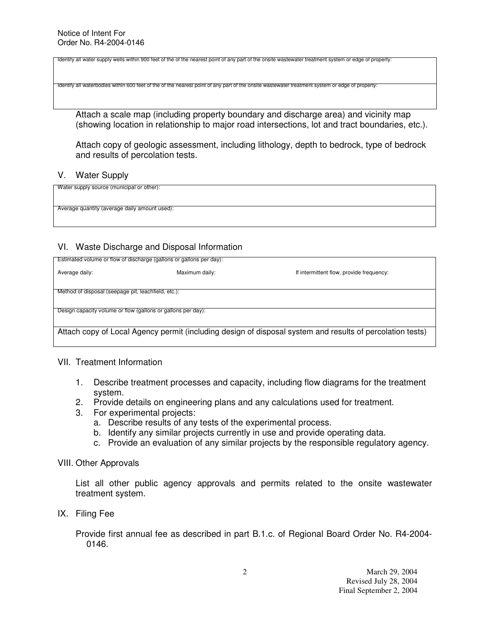Identify all water supply wells within 900 feet of the of the nearest point of any part of the onsite wastewater treatment system or edge of property:

Identify all waterbodies within 600 feet of the of the nearest point of any part of the onsite wastewater treatment system or edge of property:

Attach a scale map (including property boundary and discharge area) and vicinity map (showing location in relationship to major road intersections, lot and tract boundaries, etc.).

Attach copy of geologic assessment, including lithology, depth to bedrock, type of bedrock and results of percolation tests.

### V. Water Supply

| Water supply source (municipal or other):     |  |
|-----------------------------------------------|--|
|                                               |  |
|                                               |  |
| Average quantity (average daily amount used): |  |
|                                               |  |

## VI. Waste Discharge and Disposal Information

| Estimated volume or flow of discharge (gallons or gallons per day):                                       |                |                                          |  |  |
|-----------------------------------------------------------------------------------------------------------|----------------|------------------------------------------|--|--|
| Average daily:                                                                                            | Maximum daily: | If intermittent flow, provide frequency: |  |  |
|                                                                                                           |                |                                          |  |  |
| Method of disposal (seepage pit, leachfield, etc.):                                                       |                |                                          |  |  |
| Design capacity volume or flow (gallons or gallons per day):                                              |                |                                          |  |  |
|                                                                                                           |                |                                          |  |  |
|                                                                                                           |                |                                          |  |  |
| Attach copy of Local Agency permit (including design of disposal system and results of percolation tests) |                |                                          |  |  |

# VII. Treatment Information

- 1. Describe treatment processes and capacity, including flow diagrams for the treatment system.
- 2. Provide details on engineering plans and any calculations used for treatment.
- 3. For experimental projects:
	- a. Describe results of any tests of the experimental process.
	- b. Identify any similar projects currently in use and provide operating data.
	- c. Provide an evaluation of any similar projects by the responsible regulatory agency.

### VIII. Other Approvals

List all other public agency approvals and permits related to the onsite wastewater treatment system.

IX. Filing Fee

Provide first annual fee as described in part B.1.c. of Regional Board Order No. R4-2004- 0146.